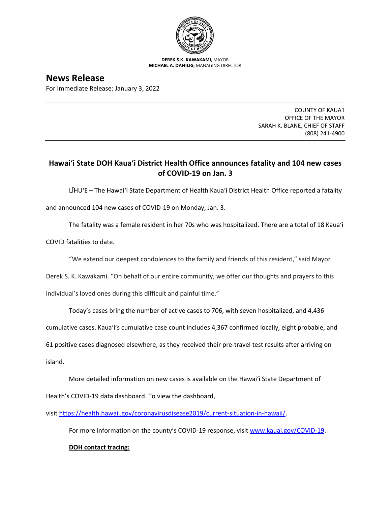

**DEREK S.K. KAWAKAMI,** MAYOR **MICHAEL A. DAHILIG,** MANAGING DIRECTOR

**News Release** For Immediate Release: January 3, 2022

> COUNTY OF KAUA'I OFFICE OF THE MAYOR SARAH K. BLANE, CHIEF OF STAFF (808) 241-4900

## **Hawai'i State DOH Kaua'i District Health Office announces fatality and 104 new cases of COVID-19 on Jan. 3**

LĪHU'E – The Hawai'i State Department of Health Kaua'i District Health Office reported a fatality and announced 104 new cases of COVID-19 on Monday, Jan. 3.

The fatality was a female resident in her 70s who was hospitalized. There are a total of 18 Kaua'i

COVID fatalities to date.

"We extend our deepest condolences to the family and friends of this resident," said Mayor

Derek S. K. Kawakami. "On behalf of our entire community, we offer our thoughts and prayers to this

individual's loved ones during this difficult and painful time."

Today's cases bring the number of active cases to 706, with seven hospitalized, and 4,436

cumulative cases. Kaua'i's cumulative case count includes 4,367 confirmed locally, eight probable, and

61 positive cases diagnosed elsewhere, as they received their pre-travel test results after arriving on

island.

More detailed information on new cases is available on the Hawai'i State Department of Health's COVID-19 data dashboard. To view the dashboard,

visit [https://health.hawaii.gov/coronavirusdisease2019/current-situation-in-hawaii/.](https://health.hawaii.gov/coronavirusdisease2019/current-situation-in-hawaii/)

For more information on the county's COVID-19 response, visit [www.kauai.gov/COVID-19.](https://urldefense.com/v3/__http:/www.kauai.gov/COVID-19__;!!LIYSdFfckKA!l4A5nHuw73q2ubt1jVfVpBxrgAoeT-qm9LHA2X0eDo7DmU1d8EztTez1J2SRjWo05uCKvMiUtA$)

## **DOH contact tracing:**